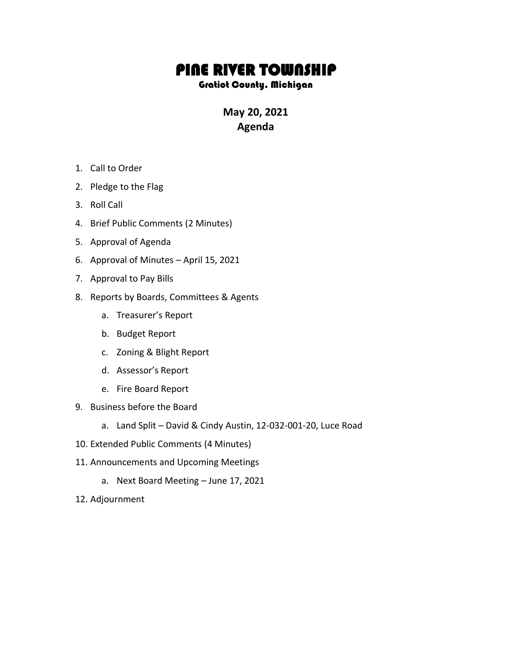## PINE RIVER TOWNSHIP

## Gratiot County, Michigan

**May 20, 2021 Agenda**

- 1. Call to Order
- 2. Pledge to the Flag
- 3. Roll Call
- 4. Brief Public Comments (2 Minutes)
- 5. Approval of Agenda
- 6. Approval of Minutes April 15, 2021
- 7. Approval to Pay Bills
- 8. Reports by Boards, Committees & Agents
	- a. Treasurer's Report
	- b. Budget Report
	- c. Zoning & Blight Report
	- d. Assessor's Report
	- e. Fire Board Report
- 9. Business before the Board
	- a. Land Split David & Cindy Austin, 12-032-001-20, Luce Road
- 10. Extended Public Comments (4 Minutes)
- 11. Announcements and Upcoming Meetings
	- a. Next Board Meeting June 17, 2021
- 12. Adjournment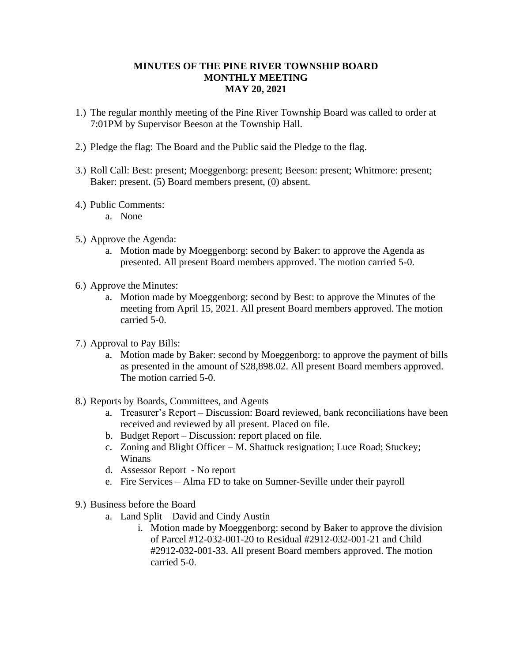## **MINUTES OF THE PINE RIVER TOWNSHIP BOARD MONTHLY MEETING MAY 20, 2021**

- 1.) The regular monthly meeting of the Pine River Township Board was called to order at 7:01PM by Supervisor Beeson at the Township Hall.
- 2.) Pledge the flag: The Board and the Public said the Pledge to the flag.
- 3.) Roll Call: Best: present; Moeggenborg: present; Beeson: present; Whitmore: present; Baker: present. (5) Board members present, (0) absent.
- 4.) Public Comments:
	- a. None
- 5.) Approve the Agenda:
	- a. Motion made by Moeggenborg: second by Baker: to approve the Agenda as presented. All present Board members approved. The motion carried 5-0.
- 6.) Approve the Minutes:
	- a. Motion made by Moeggenborg: second by Best: to approve the Minutes of the meeting from April 15, 2021. All present Board members approved. The motion carried 5-0.
- 7.) Approval to Pay Bills:
	- a. Motion made by Baker: second by Moeggenborg: to approve the payment of bills as presented in the amount of \$28,898.02. All present Board members approved. The motion carried 5-0.
- 8.) Reports by Boards, Committees, and Agents
	- a. Treasurer's Report Discussion: Board reviewed, bank reconciliations have been received and reviewed by all present. Placed on file.
	- b. Budget Report Discussion: report placed on file.
	- c. Zoning and Blight Officer M. Shattuck resignation; Luce Road; Stuckey; Winans
	- d. Assessor Report No report
	- e. Fire Services Alma FD to take on Sumner-Seville under their payroll
- 9.) Business before the Board
	- a. Land Split David and Cindy Austin
		- i. Motion made by Moeggenborg: second by Baker to approve the division of Parcel #12-032-001-20 to Residual #2912-032-001-21 and Child #2912-032-001-33. All present Board members approved. The motion carried 5-0.